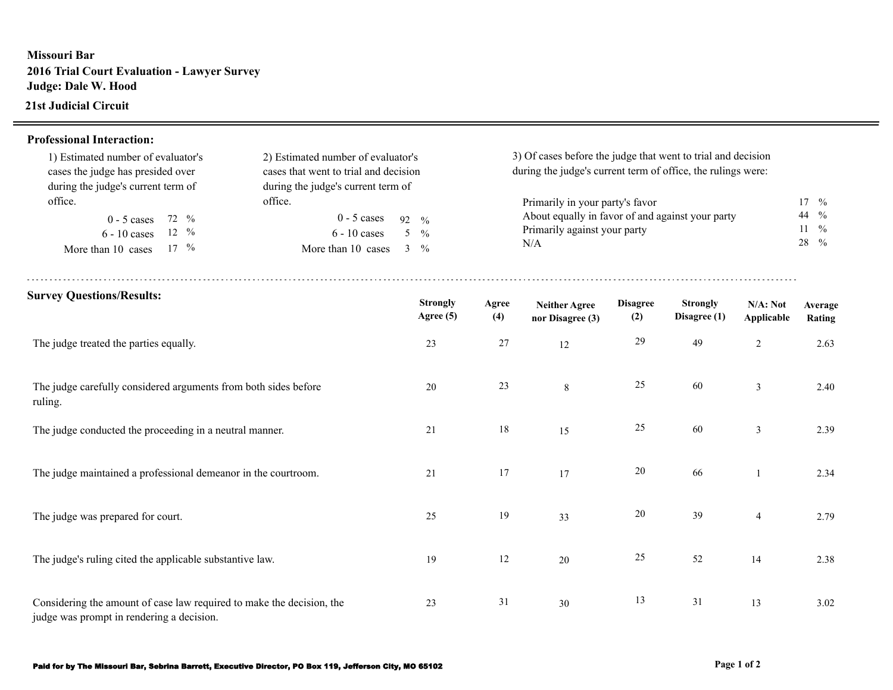## **Missouri Bar 2016 Trial Court Evaluation - Lawyer Survey Judge: Dale W. Hood**

## **21st Judicial Circuit**

## **Professional Interaction:**

| 1) Estimated number of evaluator's<br>2) Estimated number of evaluator's<br>cases that went to trial and decision<br>cases the judge has presided over<br>during the judge's current term of<br>during the judge's current term of<br>office.<br>office. |                    |                     |                              | 3) Of cases before the judge that went to trial and decision<br>during the judge's current term of office, the rulings were: |                                          |                        |                                 |                        |                                      |  |
|----------------------------------------------------------------------------------------------------------------------------------------------------------------------------------------------------------------------------------------------------------|--------------------|---------------------|------------------------------|------------------------------------------------------------------------------------------------------------------------------|------------------------------------------|------------------------|---------------------------------|------------------------|--------------------------------------|--|
|                                                                                                                                                                                                                                                          |                    |                     |                              |                                                                                                                              | Primarily in your party's favor          |                        |                                 |                        | $17 \frac{9}{6}$                     |  |
| $0 - 5$ cases<br>72 %                                                                                                                                                                                                                                    | $0 - 5$ cases      | 92<br>$\frac{0}{6}$ |                              | About equally in favor of and against your party                                                                             |                                          |                        |                                 |                        | $\frac{0}{0}$<br>44<br>$\frac{0}{0}$ |  |
| $12 \frac{9}{6}$<br>$6 - 10$ cases                                                                                                                                                                                                                       | $6 - 10$ cases     | 5 <sup>5</sup>      | $\frac{0}{0}$                | Primarily against your party                                                                                                 |                                          |                        |                                 |                        |                                      |  |
| $17 \frac{9}{6}$<br>More than 10 cases                                                                                                                                                                                                                   | More than 10 cases | $3 \frac{9}{6}$     |                              | N/A                                                                                                                          |                                          |                        |                                 |                        | 28<br>$\frac{0}{0}$                  |  |
| <b>Survey Questions/Results:</b>                                                                                                                                                                                                                         |                    |                     | <b>Strongly</b><br>Agree (5) | Agree<br>(4)                                                                                                                 | <b>Neither Agree</b><br>nor Disagree (3) | <b>Disagree</b><br>(2) | <b>Strongly</b><br>Disagree (1) | N/A: Not<br>Applicable | Average<br>Rating                    |  |
| The judge treated the parties equally.                                                                                                                                                                                                                   |                    |                     | 23                           | $27\,$                                                                                                                       | 12                                       | 29                     | 49                              | $\sqrt{2}$             | 2.63                                 |  |
| The judge carefully considered arguments from both sides before<br>ruling.                                                                                                                                                                               |                    |                     | 20                           | $23\,$                                                                                                                       | 8                                        | 25                     | 60                              | $\mathfrak{Z}$         | 2.40                                 |  |
| The judge conducted the proceeding in a neutral manner.                                                                                                                                                                                                  |                    |                     | 21                           | 18                                                                                                                           | 15                                       | 25                     | 60                              | $\overline{3}$         | 2.39                                 |  |
| The judge maintained a professional demeanor in the courtroom.                                                                                                                                                                                           |                    |                     | 21                           | 17                                                                                                                           | 17                                       | 20                     | 66                              | $\mathbf{1}$           | 2.34                                 |  |
| The judge was prepared for court.                                                                                                                                                                                                                        |                    |                     | 25                           | 19                                                                                                                           | 33                                       | 20                     | 39                              | $\overline{4}$         | 2.79                                 |  |
| The judge's ruling cited the applicable substantive law.                                                                                                                                                                                                 |                    |                     | 19                           | 12                                                                                                                           | 20                                       | 25                     | 52                              | 14                     | 2.38                                 |  |
| Considering the amount of case law required to make the decision, the<br>judge was prompt in rendering a decision.                                                                                                                                       |                    |                     | 23                           | 31                                                                                                                           | 30                                       | 13                     | 31                              | 13                     | 3.02                                 |  |